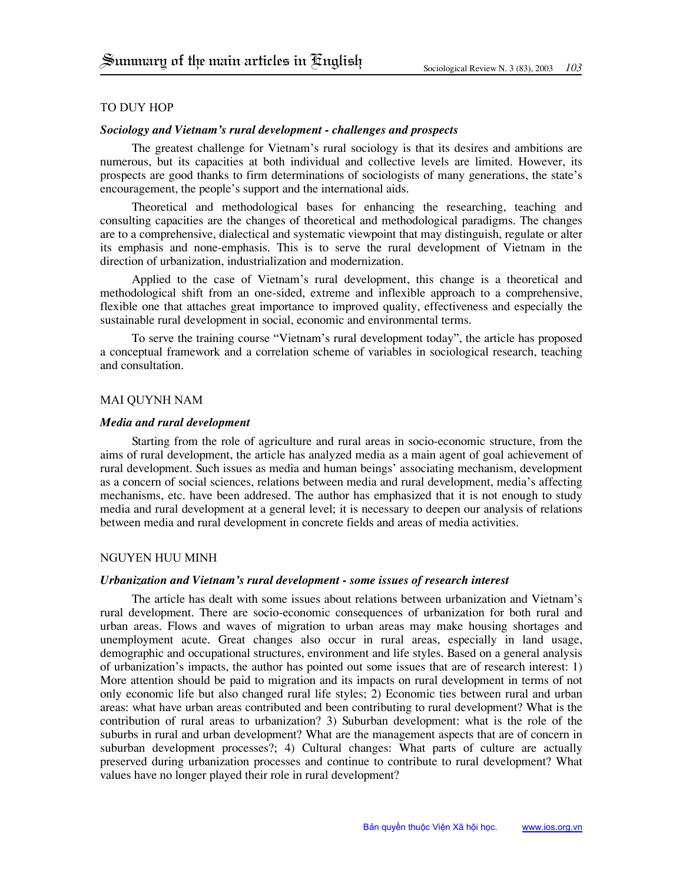## To Duy Hop

# *Sociology and Vietnam's rural development - challenges and prospects*

The greatest challenge for Vietnam's rural sociology is that its desires and ambitions are numerous, but its capacities at both individual and collective levels are limited. However, its prospects are good thanks to firm determinations of sociologists of many generations, the state's encouragement, the people's support and the international aids.

Theoretical and methodological bases for enhancing the researching, teaching and consulting capacities are the changes of theoretical and methodological paradigms. The changes are to a comprehensive, dialectical and systematic viewpoint that may distinguish, regulate or alter its emphasis and none-emphasis. This is to serve the rural development of Vietnam in the direction of urbanization, industrialization and modernization.

Applied to the case of Vietnam's rural development, this change is a theoretical and methodological shift from an one-sided, extreme and inflexible approach to a comprehensive, flexible one that attaches great importance to improved quality, effectiveness and especially the sustainable rural development in social, economic and environmental terms.

To serve the training course "Vietnam's rural development today", the article has proposed a conceptual framework and a correlation scheme of variables in sociological research, teaching and consultation.

# Mai Quynh Nam

## *Media and rural development*

Starting from the role of agriculture and rural areas in socio-economic structure, from the aims of rural development, the article has analyzed media as a main agent of goal achievement of rural development. Such issues as media and human beings' associating mechanism, development as a concern of social sciences, relations between media and rural development, media's affecting mechanisms, etc. have been addresed. The author has emphasized that it is not enough to study media and rural development at a general level; it is necessary to deepen our analysis of relations between media and rural development in concrete fields and areas of media activities.

#### Nguyen Huu Minh

## *Urbanization and Vietnam's rural development - some issues of research interest*

The article has dealt with some issues about relations between urbanization and Vietnam's rural development. There are socio-economic consequences of urbanization for both rural and urban areas. Flows and waves of migration to urban areas may make housing shortages and unemployment acute. Great changes also occur in rural areas, especially in land usage, demographic and occupational structures, environment and life styles. Based on a general analysis of urbanization's impacts, the author has pointed out some issues that are of research interest: 1) More attention should be paid to migration and its impacts on rural development in terms of not only economic life but also changed rural life styles; 2) Economic ties between rural and urban areas: what have urban areas contributed and been contributing to rural development? What is the contribution of rural areas to urbanization? 3) Suburban development: what is the role of the suburbs in rural and urban development? What are the management aspects that are of concern in suburban development processes?; 4) Cultural changes: What parts of culture are actually preserved during urbanization processes and continue to contribute to rural development? What values have no longer played their role in rural development?